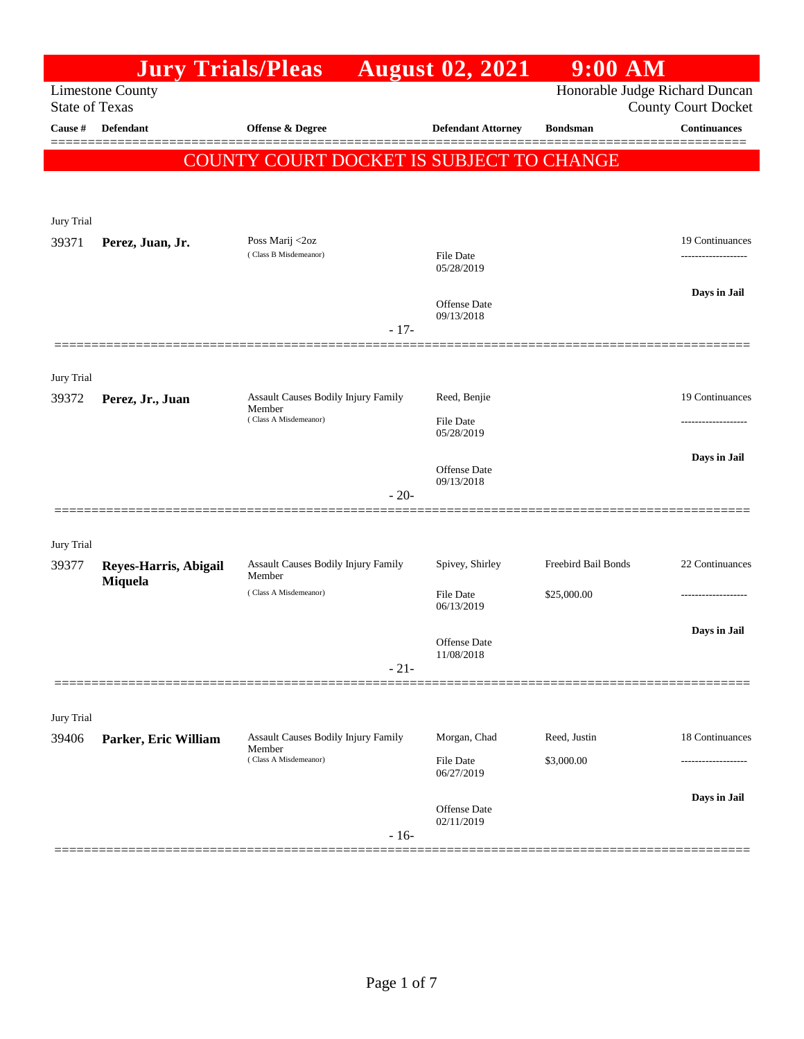|                       |                                  | <b>Jury Trials/Pleas</b>                                               |        | <b>August 02, 2021</b>                         | $9:00$ AM           |                                                              |
|-----------------------|----------------------------------|------------------------------------------------------------------------|--------|------------------------------------------------|---------------------|--------------------------------------------------------------|
| <b>State of Texas</b> | <b>Limestone County</b>          |                                                                        |        |                                                |                     | Honorable Judge Richard Duncan<br><b>County Court Docket</b> |
| Cause #               | Defendant                        | Offense & Degree                                                       |        | <b>Defendant Attorney</b>                      | <b>Bondsman</b>     | <b>Continuances</b>                                          |
|                       |                                  | <b>COUNTY COURT DOCKET IS SUBJECT TO CHANGE</b>                        |        |                                                |                     |                                                              |
| Jury Trial            |                                  |                                                                        |        |                                                |                     |                                                              |
| 39371                 | Perez, Juan, Jr.                 | Poss Marij <2oz<br>(Class B Misdemeanor)                               |        | <b>File Date</b><br>05/28/2019                 |                     | 19 Continuances                                              |
|                       |                                  |                                                                        | $-17-$ | Offense Date<br>09/13/2018                     |                     | Days in Jail                                                 |
| Jury Trial            |                                  |                                                                        |        |                                                |                     |                                                              |
| 39372                 | Perez, Jr., Juan                 | Assault Causes Bodily Injury Family<br>Member<br>(Class A Misdemeanor) |        | Reed, Benjie<br><b>File Date</b><br>05/28/2019 |                     | 19 Continuances                                              |
|                       |                                  |                                                                        | $-20-$ | Offense Date<br>09/13/2018                     |                     | Days in Jail                                                 |
| Jury Trial            |                                  |                                                                        |        |                                                |                     |                                                              |
| 39377                 | Reyes-Harris, Abigail<br>Miquela | Assault Causes Bodily Injury Family<br>Member                          |        | Spivey, Shirley                                | Freebird Bail Bonds | 22 Continuances                                              |
|                       |                                  | (Class A Misdemeanor)                                                  |        | <b>File Date</b><br>06/13/2019                 | \$25,000.00         |                                                              |
|                       |                                  |                                                                        | $-21-$ | Offense Date<br>11/08/2018                     |                     | Days in Jail                                                 |
|                       |                                  |                                                                        |        |                                                |                     |                                                              |
| Jury Trial<br>39406   | Parker, Eric William             | Assault Causes Bodily Injury Family                                    |        | Morgan, Chad                                   | Reed, Justin        | 18 Continuances                                              |
|                       |                                  | Member<br>(Class A Misdemeanor)                                        |        | File Date<br>06/27/2019                        | \$3,000.00          | ----------------                                             |
|                       |                                  |                                                                        | $-16-$ | Offense Date<br>02/11/2019                     |                     | Days in Jail                                                 |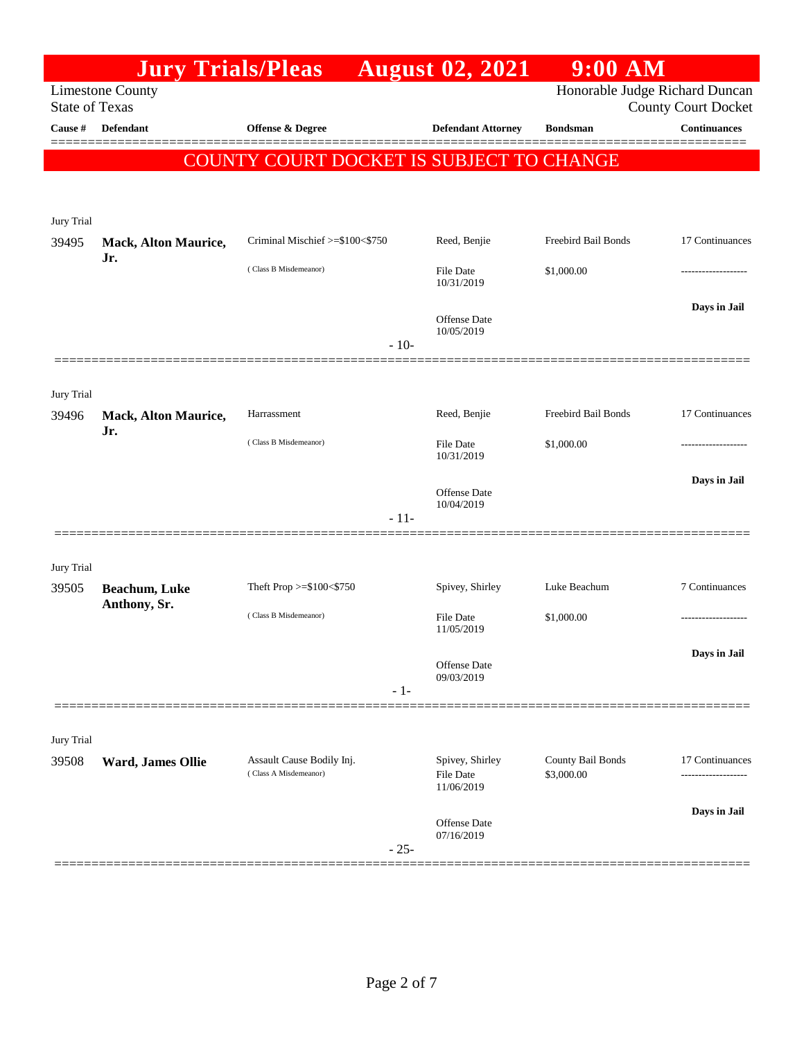| Honorable Judge Richard Duncan<br><b>Limestone County</b><br><b>State of Texas</b><br><b>County Court Docket</b><br>Defendant<br>Offense & Degree<br><b>Defendant Attorney</b><br><b>Continuances</b><br>Cause #<br><b>Bondsman</b><br>COUNTY COURT DOCKET IS SUBJECT TO CHANGE<br>Jury Trial<br>Freebird Bail Bonds<br>Criminal Mischief >=\$100<\$750<br>Reed, Benjie<br>17 Continuances<br><b>Mack, Alton Maurice,</b><br>Jr.<br>(Class B Misdemeanor)<br><b>File Date</b><br>\$1,000.00<br>10/31/2019<br>Days in Jail<br>Offense Date<br>10/05/2019<br>$-10-$<br>Jury Trial<br>Reed, Benjie<br>Freebird Bail Bonds<br>17 Continuances<br>Harrassment<br>39496<br><b>Mack, Alton Maurice,</b><br>Jr.<br>(Class B Misdemeanor)<br><b>File Date</b><br>\$1,000.00<br>10/31/2019<br>Days in Jail<br><b>Offense</b> Date<br>10/04/2019<br>$-11-$<br>Jury Trial<br>Spivey, Shirley<br>7 Continuances<br>Theft Prop >=\$100<\$750<br>Luke Beachum<br>39505<br>Beachum, Luke<br>Anthony, Sr.<br>(Class B Misdemeanor)<br>File Date<br>\$1,000.00<br>11/05/2019<br>Days in Jail<br>Offense Date<br>09/03/2019<br>$-1-$<br>Jury Trial<br>County Bail Bonds<br>Assault Cause Bodily Inj.<br>Spivey, Shirley<br>17 Continuances<br>39508<br>Ward, James Ollie<br>(Class A Misdemeanor)<br>\$3,000.00<br>File Date<br>11/06/2019<br>Days in Jail<br><b>Offense</b> Date<br>07/16/2019<br>$-25-$ |       | <b>Jury Trials/Pleas</b> | <b>August 02, 2021</b> | $9:00$ AM |  |
|----------------------------------------------------------------------------------------------------------------------------------------------------------------------------------------------------------------------------------------------------------------------------------------------------------------------------------------------------------------------------------------------------------------------------------------------------------------------------------------------------------------------------------------------------------------------------------------------------------------------------------------------------------------------------------------------------------------------------------------------------------------------------------------------------------------------------------------------------------------------------------------------------------------------------------------------------------------------------------------------------------------------------------------------------------------------------------------------------------------------------------------------------------------------------------------------------------------------------------------------------------------------------------------------------------------------------------------------------------------------------------------|-------|--------------------------|------------------------|-----------|--|
|                                                                                                                                                                                                                                                                                                                                                                                                                                                                                                                                                                                                                                                                                                                                                                                                                                                                                                                                                                                                                                                                                                                                                                                                                                                                                                                                                                                        |       |                          |                        |           |  |
|                                                                                                                                                                                                                                                                                                                                                                                                                                                                                                                                                                                                                                                                                                                                                                                                                                                                                                                                                                                                                                                                                                                                                                                                                                                                                                                                                                                        |       |                          |                        |           |  |
|                                                                                                                                                                                                                                                                                                                                                                                                                                                                                                                                                                                                                                                                                                                                                                                                                                                                                                                                                                                                                                                                                                                                                                                                                                                                                                                                                                                        |       |                          |                        |           |  |
|                                                                                                                                                                                                                                                                                                                                                                                                                                                                                                                                                                                                                                                                                                                                                                                                                                                                                                                                                                                                                                                                                                                                                                                                                                                                                                                                                                                        |       |                          |                        |           |  |
|                                                                                                                                                                                                                                                                                                                                                                                                                                                                                                                                                                                                                                                                                                                                                                                                                                                                                                                                                                                                                                                                                                                                                                                                                                                                                                                                                                                        |       |                          |                        |           |  |
|                                                                                                                                                                                                                                                                                                                                                                                                                                                                                                                                                                                                                                                                                                                                                                                                                                                                                                                                                                                                                                                                                                                                                                                                                                                                                                                                                                                        |       |                          |                        |           |  |
|                                                                                                                                                                                                                                                                                                                                                                                                                                                                                                                                                                                                                                                                                                                                                                                                                                                                                                                                                                                                                                                                                                                                                                                                                                                                                                                                                                                        | 39495 |                          |                        |           |  |
|                                                                                                                                                                                                                                                                                                                                                                                                                                                                                                                                                                                                                                                                                                                                                                                                                                                                                                                                                                                                                                                                                                                                                                                                                                                                                                                                                                                        |       |                          |                        |           |  |
|                                                                                                                                                                                                                                                                                                                                                                                                                                                                                                                                                                                                                                                                                                                                                                                                                                                                                                                                                                                                                                                                                                                                                                                                                                                                                                                                                                                        |       |                          |                        |           |  |
|                                                                                                                                                                                                                                                                                                                                                                                                                                                                                                                                                                                                                                                                                                                                                                                                                                                                                                                                                                                                                                                                                                                                                                                                                                                                                                                                                                                        |       |                          |                        |           |  |
|                                                                                                                                                                                                                                                                                                                                                                                                                                                                                                                                                                                                                                                                                                                                                                                                                                                                                                                                                                                                                                                                                                                                                                                                                                                                                                                                                                                        |       |                          |                        |           |  |
|                                                                                                                                                                                                                                                                                                                                                                                                                                                                                                                                                                                                                                                                                                                                                                                                                                                                                                                                                                                                                                                                                                                                                                                                                                                                                                                                                                                        |       |                          |                        |           |  |
|                                                                                                                                                                                                                                                                                                                                                                                                                                                                                                                                                                                                                                                                                                                                                                                                                                                                                                                                                                                                                                                                                                                                                                                                                                                                                                                                                                                        |       |                          |                        |           |  |
|                                                                                                                                                                                                                                                                                                                                                                                                                                                                                                                                                                                                                                                                                                                                                                                                                                                                                                                                                                                                                                                                                                                                                                                                                                                                                                                                                                                        |       |                          |                        |           |  |
|                                                                                                                                                                                                                                                                                                                                                                                                                                                                                                                                                                                                                                                                                                                                                                                                                                                                                                                                                                                                                                                                                                                                                                                                                                                                                                                                                                                        |       |                          |                        |           |  |
|                                                                                                                                                                                                                                                                                                                                                                                                                                                                                                                                                                                                                                                                                                                                                                                                                                                                                                                                                                                                                                                                                                                                                                                                                                                                                                                                                                                        |       |                          |                        |           |  |
|                                                                                                                                                                                                                                                                                                                                                                                                                                                                                                                                                                                                                                                                                                                                                                                                                                                                                                                                                                                                                                                                                                                                                                                                                                                                                                                                                                                        |       |                          |                        |           |  |
|                                                                                                                                                                                                                                                                                                                                                                                                                                                                                                                                                                                                                                                                                                                                                                                                                                                                                                                                                                                                                                                                                                                                                                                                                                                                                                                                                                                        |       |                          |                        |           |  |
|                                                                                                                                                                                                                                                                                                                                                                                                                                                                                                                                                                                                                                                                                                                                                                                                                                                                                                                                                                                                                                                                                                                                                                                                                                                                                                                                                                                        |       |                          |                        |           |  |
|                                                                                                                                                                                                                                                                                                                                                                                                                                                                                                                                                                                                                                                                                                                                                                                                                                                                                                                                                                                                                                                                                                                                                                                                                                                                                                                                                                                        |       |                          |                        |           |  |
|                                                                                                                                                                                                                                                                                                                                                                                                                                                                                                                                                                                                                                                                                                                                                                                                                                                                                                                                                                                                                                                                                                                                                                                                                                                                                                                                                                                        |       |                          |                        |           |  |
|                                                                                                                                                                                                                                                                                                                                                                                                                                                                                                                                                                                                                                                                                                                                                                                                                                                                                                                                                                                                                                                                                                                                                                                                                                                                                                                                                                                        |       |                          |                        |           |  |
|                                                                                                                                                                                                                                                                                                                                                                                                                                                                                                                                                                                                                                                                                                                                                                                                                                                                                                                                                                                                                                                                                                                                                                                                                                                                                                                                                                                        |       |                          |                        |           |  |
|                                                                                                                                                                                                                                                                                                                                                                                                                                                                                                                                                                                                                                                                                                                                                                                                                                                                                                                                                                                                                                                                                                                                                                                                                                                                                                                                                                                        |       |                          |                        |           |  |
|                                                                                                                                                                                                                                                                                                                                                                                                                                                                                                                                                                                                                                                                                                                                                                                                                                                                                                                                                                                                                                                                                                                                                                                                                                                                                                                                                                                        |       |                          |                        |           |  |
|                                                                                                                                                                                                                                                                                                                                                                                                                                                                                                                                                                                                                                                                                                                                                                                                                                                                                                                                                                                                                                                                                                                                                                                                                                                                                                                                                                                        |       |                          |                        |           |  |
|                                                                                                                                                                                                                                                                                                                                                                                                                                                                                                                                                                                                                                                                                                                                                                                                                                                                                                                                                                                                                                                                                                                                                                                                                                                                                                                                                                                        |       |                          |                        |           |  |
|                                                                                                                                                                                                                                                                                                                                                                                                                                                                                                                                                                                                                                                                                                                                                                                                                                                                                                                                                                                                                                                                                                                                                                                                                                                                                                                                                                                        |       |                          |                        |           |  |
|                                                                                                                                                                                                                                                                                                                                                                                                                                                                                                                                                                                                                                                                                                                                                                                                                                                                                                                                                                                                                                                                                                                                                                                                                                                                                                                                                                                        |       |                          |                        |           |  |
|                                                                                                                                                                                                                                                                                                                                                                                                                                                                                                                                                                                                                                                                                                                                                                                                                                                                                                                                                                                                                                                                                                                                                                                                                                                                                                                                                                                        |       |                          |                        |           |  |
|                                                                                                                                                                                                                                                                                                                                                                                                                                                                                                                                                                                                                                                                                                                                                                                                                                                                                                                                                                                                                                                                                                                                                                                                                                                                                                                                                                                        |       |                          |                        |           |  |
|                                                                                                                                                                                                                                                                                                                                                                                                                                                                                                                                                                                                                                                                                                                                                                                                                                                                                                                                                                                                                                                                                                                                                                                                                                                                                                                                                                                        |       |                          |                        |           |  |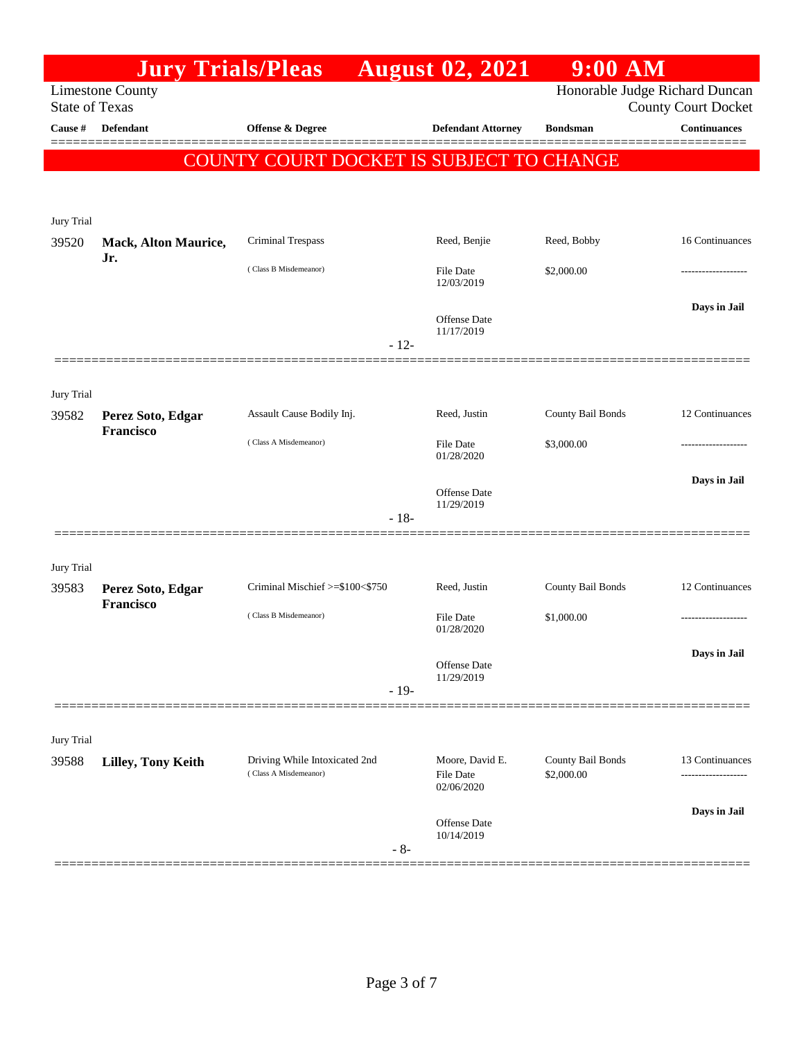|                                  | <b>Jury Trials/Pleas</b>    |                                          |        | <b>August 02, 2021</b>         | 9:00 AM           |                                                   |
|----------------------------------|-----------------------------|------------------------------------------|--------|--------------------------------|-------------------|---------------------------------------------------|
|                                  | <b>Limestone County</b>     |                                          |        |                                |                   | Honorable Judge Richard Duncan                    |
| <b>State of Texas</b><br>Cause # | Defendant                   | Offense & Degree                         |        | <b>Defendant Attorney</b>      | <b>Bondsman</b>   | <b>County Court Docket</b><br><b>Continuances</b> |
|                                  |                             |                                          |        |                                |                   |                                                   |
|                                  |                             | COUNTY COURT DOCKET IS SUBJECT TO CHANGE |        |                                |                   |                                                   |
|                                  |                             |                                          |        |                                |                   |                                                   |
| Jury Trial                       |                             |                                          |        |                                |                   |                                                   |
| 39520                            | <b>Mack, Alton Maurice,</b> | Criminal Trespass                        |        | Reed, Benjie                   | Reed, Bobby       | 16 Continuances                                   |
|                                  | Jr.                         | (Class B Misdemeanor)                    |        | <b>File Date</b>               | \$2,000.00        |                                                   |
|                                  |                             |                                          |        | 12/03/2019                     |                   |                                                   |
|                                  |                             |                                          |        | Offense Date                   |                   | Days in Jail                                      |
|                                  |                             |                                          | $-12-$ | 11/17/2019                     |                   |                                                   |
|                                  |                             |                                          |        |                                |                   |                                                   |
| Jury Trial                       |                             |                                          |        |                                |                   |                                                   |
| 39582                            | Perez Soto, Edgar           | Assault Cause Bodily Inj.                |        | Reed, Justin                   | County Bail Bonds | 12 Continuances                                   |
|                                  | Francisco                   | (Class A Misdemeanor)                    |        | <b>File Date</b>               | \$3,000.00        |                                                   |
|                                  |                             |                                          |        | 01/28/2020                     |                   |                                                   |
|                                  |                             |                                          |        | Offense Date                   |                   | Days in Jail                                      |
|                                  |                             |                                          | $-18-$ | 11/29/2019                     |                   |                                                   |
|                                  |                             |                                          |        |                                |                   |                                                   |
| Jury Trial                       |                             |                                          |        |                                |                   |                                                   |
| 39583                            | Perez Soto, Edgar           | Criminal Mischief >=\$100<\$750          |        | Reed, Justin                   | County Bail Bonds | 12 Continuances                                   |
|                                  | Francisco                   | (Class B Misdemeanor)                    |        | <b>File Date</b>               | \$1,000.00        |                                                   |
|                                  |                             |                                          |        | 01/28/2020                     |                   |                                                   |
|                                  |                             |                                          |        | Offense Date                   |                   | Days in Jail                                      |
|                                  |                             |                                          | $-19-$ | 11/29/2019                     |                   |                                                   |
|                                  |                             |                                          |        |                                |                   |                                                   |
| Jury Trial                       |                             |                                          |        |                                |                   |                                                   |
| 39588                            | Lilley, Tony Keith          | Driving While Intoxicated 2nd            |        | Moore, David E.                | County Bail Bonds | 13 Continuances                                   |
|                                  |                             | (Class A Misdemeanor)                    |        | <b>File Date</b><br>02/06/2020 | \$2,000.00        |                                                   |
|                                  |                             |                                          |        |                                |                   | Days in Jail                                      |
|                                  |                             |                                          |        | Offense Date<br>10/14/2019     |                   |                                                   |
|                                  |                             |                                          | $-8-$  |                                |                   |                                                   |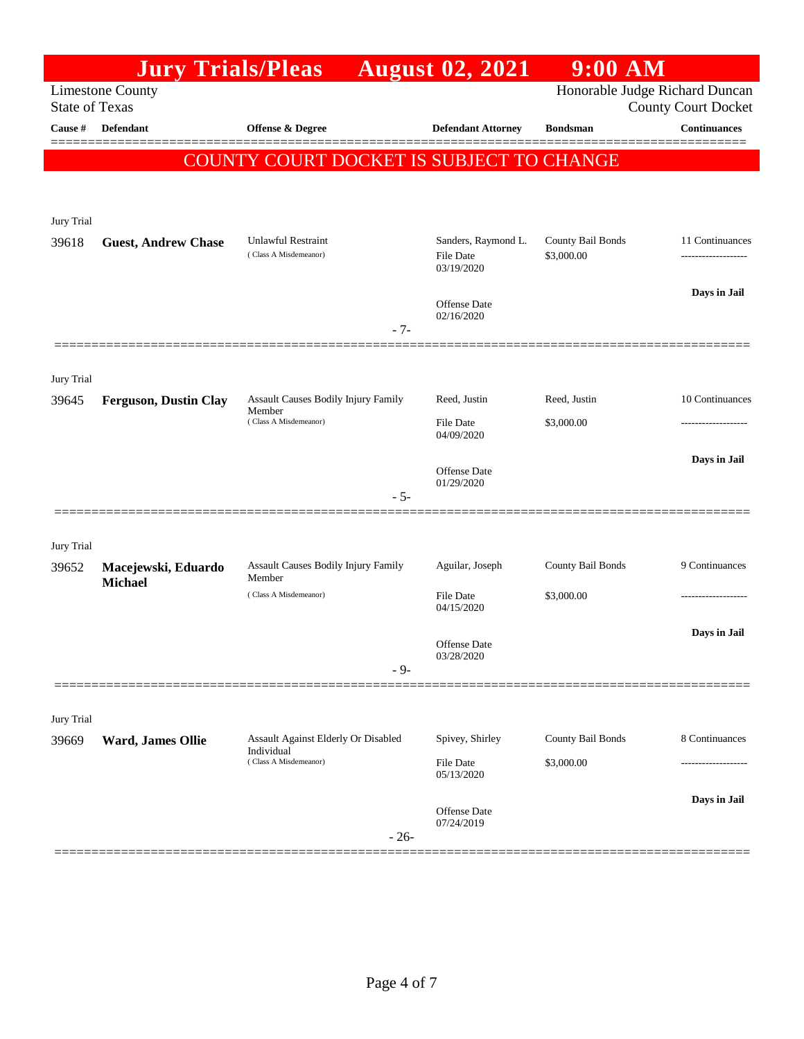|                       | <b>Jury Trials/Pleas</b>              |                                                                            | <b>August 02, 2021</b>                         | $9:00$ AM                       |                                                              |
|-----------------------|---------------------------------------|----------------------------------------------------------------------------|------------------------------------------------|---------------------------------|--------------------------------------------------------------|
| <b>State of Texas</b> | <b>Limestone County</b>               |                                                                            |                                                |                                 | Honorable Judge Richard Duncan<br><b>County Court Docket</b> |
| Cause #               | <b>Defendant</b>                      | <b>Offense &amp; Degree</b>                                                | <b>Defendant Attorney</b>                      | <b>Bondsman</b>                 | <b>Continuances</b>                                          |
|                       |                                       | COUNTY COURT DOCKET IS SUBJECT TO CHANGE                                   |                                                |                                 |                                                              |
| Jury Trial            |                                       |                                                                            |                                                |                                 |                                                              |
| 39618                 | <b>Guest, Andrew Chase</b>            | Unlawful Restraint<br>(Class A Misdemeanor)                                | Sanders, Raymond L.<br>File Date<br>03/19/2020 | County Bail Bonds<br>\$3,000.00 | 11 Continuances<br>                                          |
|                       |                                       | $-7-$                                                                      | Offense Date<br>02/16/2020                     |                                 | Days in Jail                                                 |
| Jury Trial            |                                       |                                                                            |                                                |                                 |                                                              |
| 39645                 | <b>Ferguson, Dustin Clay</b>          | Assault Causes Bodily Injury Family<br>Member<br>(Class A Misdemeanor)     | Reed, Justin<br><b>File Date</b>               | Reed, Justin<br>\$3,000.00      | 10 Continuances                                              |
|                       |                                       | $-5-$                                                                      | 04/09/2020<br>Offense Date<br>01/29/2020       |                                 | Days in Jail                                                 |
| Jury Trial            |                                       |                                                                            |                                                |                                 |                                                              |
| 39652                 | Macejewski, Eduardo<br><b>Michael</b> | Assault Causes Bodily Injury Family<br>Member<br>(Class A Misdemeanor)     | Aguilar, Joseph<br><b>File Date</b>            | County Bail Bonds<br>\$3,000.00 | 9 Continuances                                               |
|                       |                                       |                                                                            | 04/15/2020                                     |                                 | Days in Jail                                                 |
|                       |                                       | $-9-$                                                                      | Offense Date<br>03/28/2020                     |                                 |                                                              |
| Jury Trial            |                                       |                                                                            |                                                |                                 |                                                              |
| 39669                 | Ward, James Ollie                     | Assault Against Elderly Or Disabled<br>Individual<br>(Class A Misdemeanor) | Spivey, Shirley<br>File Date                   | County Bail Bonds<br>\$3,000.00 | 8 Continuances                                               |
|                       |                                       |                                                                            | 05/13/2020                                     |                                 | Days in Jail                                                 |
|                       |                                       | $-26-$                                                                     | Offense Date<br>07/24/2019                     |                                 |                                                              |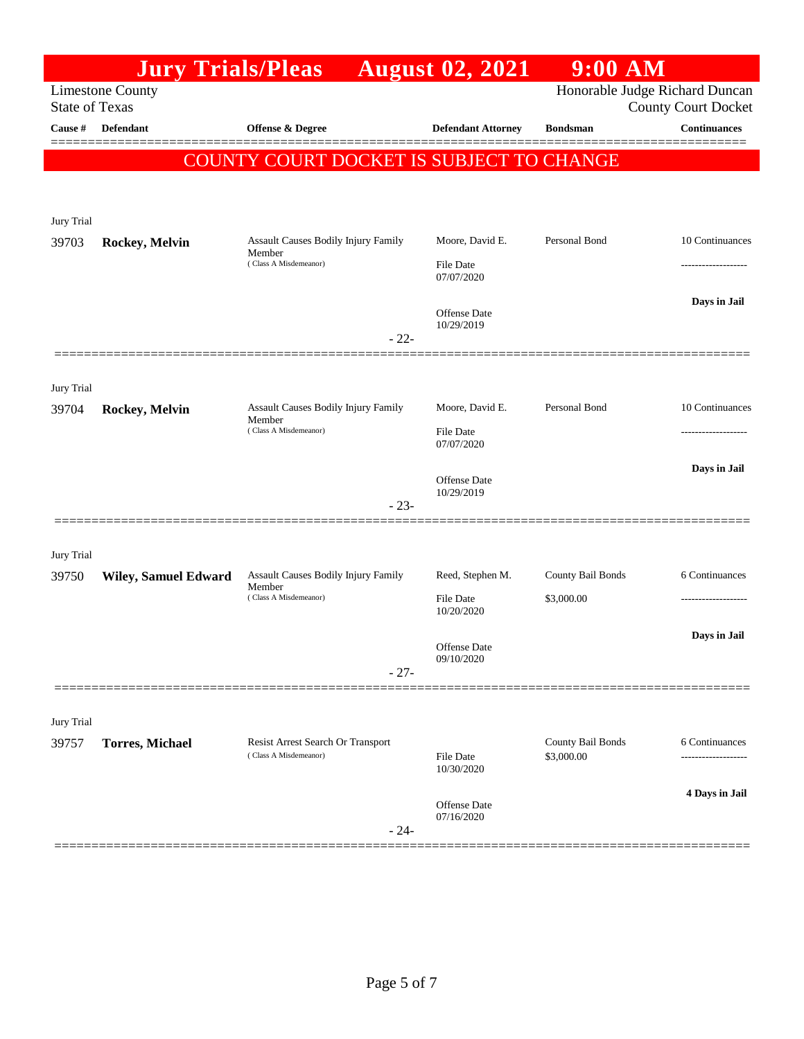|                       | <b>Jury Trials/Pleas</b>    |                                                            | <b>August 02, 2021</b>         | $9:00$ AM                       |                                                              |
|-----------------------|-----------------------------|------------------------------------------------------------|--------------------------------|---------------------------------|--------------------------------------------------------------|
| <b>State of Texas</b> | <b>Limestone County</b>     |                                                            |                                |                                 | Honorable Judge Richard Duncan<br><b>County Court Docket</b> |
| Cause #               | Defendant                   | <b>Offense &amp; Degree</b>                                | <b>Defendant Attorney</b>      | <b>Bondsman</b>                 | <b>Continuances</b>                                          |
|                       |                             | COUNTY COURT DOCKET IS SUBJECT TO CHANGE                   |                                |                                 |                                                              |
|                       |                             |                                                            |                                |                                 |                                                              |
| Jury Trial            |                             |                                                            |                                |                                 |                                                              |
| 39703                 | Rockey, Melvin              | Assault Causes Bodily Injury Family<br>Member              | Moore, David E.                | Personal Bond                   | 10 Continuances                                              |
|                       |                             | (Class A Misdemeanor)                                      | <b>File Date</b><br>07/07/2020 |                                 |                                                              |
|                       |                             |                                                            |                                |                                 | Days in Jail                                                 |
|                       |                             |                                                            | Offense Date<br>10/29/2019     |                                 |                                                              |
|                       |                             | $-22-$                                                     |                                |                                 |                                                              |
| Jury Trial            |                             |                                                            |                                |                                 |                                                              |
| 39704                 | Rockey, Melvin              | Assault Causes Bodily Injury Family<br>Member              | Moore, David E.                | Personal Bond                   | 10 Continuances                                              |
|                       |                             | (Class A Misdemeanor)                                      | <b>File Date</b><br>07/07/2020 |                                 | -------------------                                          |
|                       |                             |                                                            | Offense Date                   |                                 | Days in Jail                                                 |
|                       |                             | $-23-$                                                     | 10/29/2019                     |                                 |                                                              |
|                       |                             |                                                            |                                |                                 |                                                              |
| Jury Trial            |                             |                                                            |                                |                                 |                                                              |
| 39750                 | <b>Wiley, Samuel Edward</b> | <b>Assault Causes Bodily Injury Family</b><br>Member       | Reed, Stephen M.               | County Bail Bonds               | 6 Continuances                                               |
|                       |                             | (Class A Misdemeanor)                                      | File Date<br>10/20/2020        | \$3,000.00                      |                                                              |
|                       |                             |                                                            | Offense Date                   |                                 | Days in Jail                                                 |
|                       |                             | $-27-$                                                     | 09/10/2020                     |                                 |                                                              |
|                       |                             |                                                            |                                |                                 |                                                              |
| Jury Trial            |                             |                                                            |                                |                                 |                                                              |
| 39757                 | <b>Torres, Michael</b>      | Resist Arrest Search Or Transport<br>(Class A Misdemeanor) | <b>File Date</b>               | County Bail Bonds<br>\$3,000.00 | 6 Continuances                                               |
|                       |                             |                                                            | 10/30/2020                     |                                 | 4 Days in Jail                                               |
|                       |                             |                                                            | Offense Date<br>07/16/2020     |                                 |                                                              |
|                       |                             | $-24-$                                                     |                                |                                 |                                                              |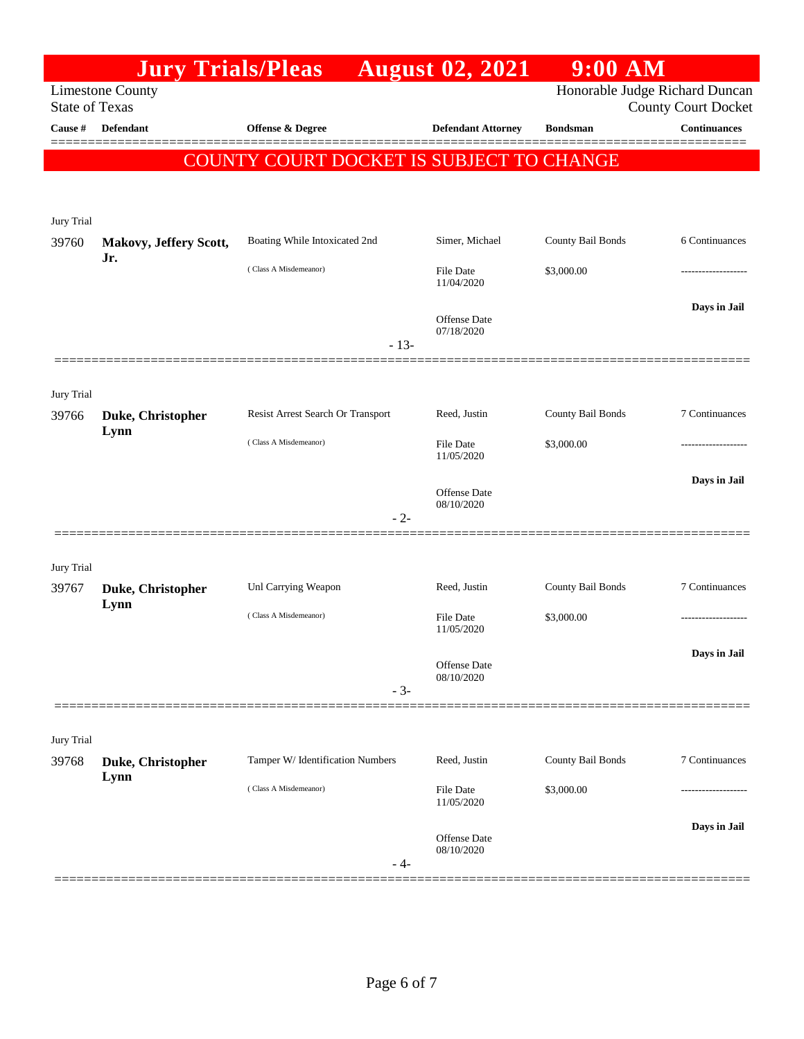|                                  |                           | <b>Jury Trials/Pleas</b>                 | <b>August 02, 2021</b>            | 9:00 AM           |                                                   |
|----------------------------------|---------------------------|------------------------------------------|-----------------------------------|-------------------|---------------------------------------------------|
|                                  | <b>Limestone County</b>   |                                          |                                   |                   | Honorable Judge Richard Duncan                    |
| <b>State of Texas</b><br>Cause # | Defendant                 | Offense & Degree                         | <b>Defendant Attorney</b>         | <b>Bondsman</b>   | <b>County Court Docket</b><br><b>Continuances</b> |
|                                  |                           |                                          |                                   |                   |                                                   |
|                                  |                           | COUNTY COURT DOCKET IS SUBJECT TO CHANGE |                                   |                   |                                                   |
|                                  |                           |                                          |                                   |                   |                                                   |
| Jury Trial                       |                           |                                          |                                   |                   |                                                   |
| 39760                            | Makovy, Jeffery Scott,    | Boating While Intoxicated 2nd            | Simer, Michael                    | County Bail Bonds | 6 Continuances                                    |
|                                  | Jr.                       | (Class A Misdemeanor)                    | <b>File Date</b><br>11/04/2020    | \$3,000.00        |                                                   |
|                                  |                           |                                          | Offense Date<br>07/18/2020        |                   | Days in Jail                                      |
|                                  |                           | $-13-$                                   |                                   |                   |                                                   |
|                                  |                           |                                          |                                   |                   |                                                   |
| Jury Trial                       |                           |                                          |                                   |                   |                                                   |
| 39766                            | Duke, Christopher<br>Lynn | Resist Arrest Search Or Transport        | Reed, Justin                      | County Bail Bonds | 7 Continuances                                    |
|                                  |                           | (Class A Misdemeanor)                    | <b>File Date</b><br>11/05/2020    | \$3,000.00        |                                                   |
|                                  |                           |                                          |                                   |                   | Days in Jail                                      |
|                                  |                           |                                          | <b>Offense</b> Date<br>08/10/2020 |                   |                                                   |
|                                  |                           | $-2-$                                    |                                   |                   |                                                   |
|                                  |                           |                                          |                                   |                   |                                                   |
| Jury Trial<br>39767              | Duke, Christopher         | Unl Carrying Weapon                      | Reed, Justin                      | County Bail Bonds | 7 Continuances                                    |
|                                  | Lynn                      |                                          |                                   |                   |                                                   |
|                                  |                           | (Class A Misdemeanor)                    | File Date<br>11/05/2020           | \$3,000.00        |                                                   |
|                                  |                           |                                          |                                   |                   | Days in Jail                                      |
|                                  |                           |                                          | Offense Date<br>08/10/2020        |                   |                                                   |
|                                  |                           | $-3-$                                    |                                   |                   |                                                   |
| Jury Trial                       |                           |                                          |                                   |                   |                                                   |
| 39768                            | Duke, Christopher<br>Lynn | Tamper W/ Identification Numbers         | Reed, Justin                      | County Bail Bonds | 7 Continuances                                    |
|                                  |                           | (Class A Misdemeanor)                    | <b>File Date</b><br>11/05/2020    | \$3,000.00        |                                                   |
|                                  |                           | - 4-                                     | <b>Offense Date</b><br>08/10/2020 |                   | Days in Jail                                      |